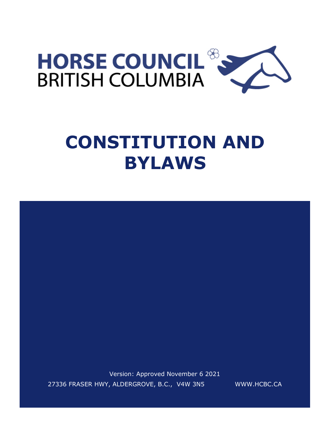

# **CONSTITUTION AND BYLAWS**

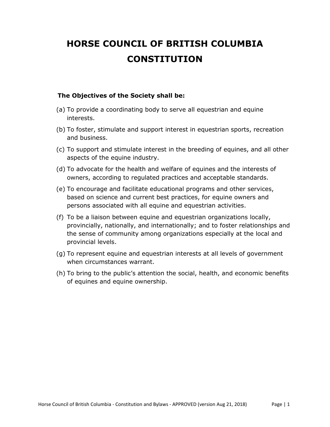# **HORSE COUNCIL OF BRITISH COLUMBIA CONSTITUTION**

#### **The Objectives of the Society shall be:**

- (a) To provide a coordinating body to serve all equestrian and equine interests.
- (b) To foster, stimulate and support interest in equestrian sports, recreation and business.
- (c) To support and stimulate interest in the breeding of equines, and all other aspects of the equine industry.
- (d) To advocate for the health and welfare of equines and the interests of owners, according to regulated practices and acceptable standards.
- (e) To encourage and facilitate educational programs and other services, based on science and current best practices, for equine owners and persons associated with all equine and equestrian activities.
- (f) To be a liaison between equine and equestrian organizations locally, provincially, nationally, and internationally; and to foster relationships and the sense of community among organizations especially at the local and provincial levels.
- (g) To represent equine and equestrian interests at all levels of government when circumstances warrant.
- (h) To bring to the public's attention the social, health, and economic benefits of equines and equine ownership.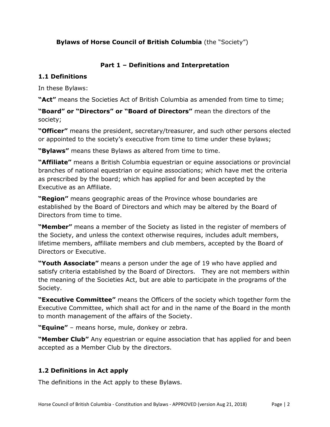# **Bylaws of Horse Council of British Columbia** (the "Society")

# **Part 1 – Definitions and Interpretation**

## **1.1 Definitions**

In these Bylaws:

**"Act"** means the Societies Act of British Columbia as amended from time to time;

**"Board" or "Directors" or "Board of Directors"** mean the directors of the society;

**"Officer"** means the president, secretary/treasurer, and such other persons elected or appointed to the society's executive from time to time under these bylaws;

**"Bylaws"** means these Bylaws as altered from time to time.

**"Affiliate"** means a British Columbia equestrian or equine associations or provincial branches of national equestrian or equine associations; which have met the criteria as prescribed by the board; which has applied for and been accepted by the Executive as an Affiliate.

**"Region"** means geographic areas of the Province whose boundaries are established by the Board of Directors and which may be altered by the Board of Directors from time to time.

**"Member"** means a member of the Society as listed in the register of members of the Society, and unless the context otherwise requires, includes adult members, lifetime members, affiliate members and club members, accepted by the Board of Directors or Executive.

**"Youth Associate"** means a person under the age of 19 who have applied and satisfy criteria established by the Board of Directors. They are not members within the meaning of the Societies Act, but are able to participate in the programs of the Society.

**"Executive Committee"** means the Officers of the society which together form the Executive Committee, which shall act for and in the name of the Board in the month to month management of the affairs of the Society.

**"Equine"** – means horse, mule, donkey or zebra.

**"Member Club"** Any equestrian or equine association that has applied for and been accepted as a Member Club by the directors.

# **1.2 Definitions in Act apply**

The definitions in the Act apply to these Bylaws.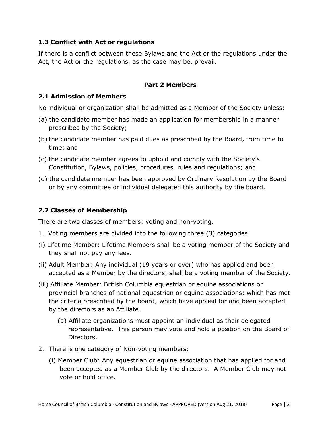### **1.3 Conflict with Act or regulations**

If there is a conflict between these Bylaws and the Act or the regulations under the Act, the Act or the regulations, as the case may be, prevail.

#### **Part 2 Members**

## **2.1 Admission of Members**

No individual or organization shall be admitted as a Member of the Society unless:

- (a) the candidate member has made an application for membership in a manner prescribed by the Society;
- (b) the candidate member has paid dues as prescribed by the Board, from time to time; and
- (c) the candidate member agrees to uphold and comply with the Society's Constitution, Bylaws, policies, procedures, rules and regulations; and
- (d) the candidate member has been approved by Ordinary Resolution by the Board or by any committee or individual delegated this authority by the board.

# **2.2 Classes of Membership**

There are two classes of members: voting and non-voting.

- 1. Voting members are divided into the following three (3) categories:
- (i) Lifetime Member: Lifetime Members shall be a voting member of the Society and they shall not pay any fees.
- (ii) Adult Member: Any individual (19 years or over) who has applied and been accepted as a Member by the directors, shall be a voting member of the Society.
- (iii) Affiliate Member: British Columbia equestrian or equine associations or provincial branches of national equestrian or equine associations; which has met the criteria prescribed by the board; which have applied for and been accepted by the directors as an Affiliate.
	- (a) Affiliate organizations must appoint an individual as their delegated representative. This person may vote and hold a position on the Board of Directors.
- 2. There is one category of Non-voting members:
	- (i) Member Club: Any equestrian or equine association that has applied for and been accepted as a Member Club by the directors. A Member Club may not vote or hold office.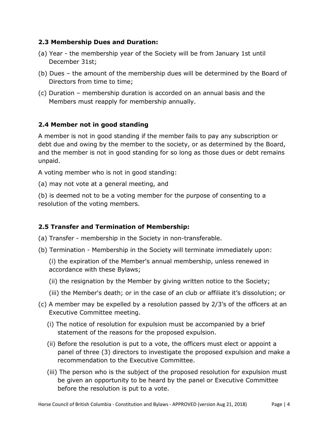#### **2.3 Membership Dues and Duration:**

- (a) Year the membership year of the Society will be from January 1st until December 31st;
- (b) Dues the amount of the membership dues will be determined by the Board of Directors from time to time;
- (c) Duration membership duration is accorded on an annual basis and the Members must reapply for membership annually.

# **2.4 Member not in good standing**

A member is not in good standing if the member fails to pay any subscription or debt due and owing by the member to the society, or as determined by the Board, and the member is not in good standing for so long as those dues or debt remains unpaid.

A voting member who is not in good standing:

(a) may not vote at a general meeting, and

(b) is deemed not to be a voting member for the purpose of consenting to a resolution of the voting members.

# **2.5 Transfer and Termination of Membership:**

- (a) Transfer membership in the Society in non-transferable.
- (b) Termination Membership in the Society will terminate immediately upon:

(i) the expiration of the Member's annual membership, unless renewed in accordance with these Bylaws;

- (ii) the resignation by the Member by giving written notice to the Society;
- (iii) the Member's death; or in the case of an club or affiliate it's dissolution; or
- (c) A member may be expelled by a resolution passed by 2/3's of the officers at an Executive Committee meeting.
	- (i) The notice of resolution for expulsion must be accompanied by a brief statement of the reasons for the proposed expulsion.
	- (ii) Before the resolution is put to a vote, the officers must elect or appoint a panel of three (3) directors to investigate the proposed expulsion and make a recommendation to the Executive Committee.
	- (iii) The person who is the subject of the proposed resolution for expulsion must be given an opportunity to be heard by the panel or Executive Committee before the resolution is put to a vote.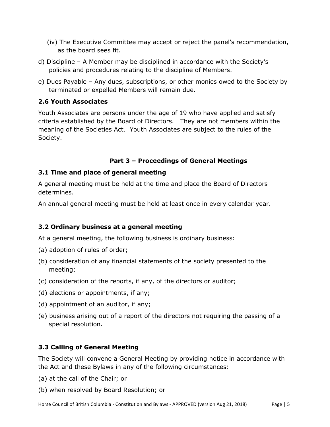- (iv) The Executive Committee may accept or reject the panel's recommendation, as the board sees fit.
- d) Discipline A Member may be disciplined in accordance with the Society's policies and procedures relating to the discipline of Members.
- e) Dues Payable Any dues, subscriptions, or other monies owed to the Society by terminated or expelled Members will remain due.

# **2.6 Youth Associates**

Youth Associates are persons under the age of 19 who have applied and satisfy criteria established by the Board of Directors. They are not members within the meaning of the Societies Act. Youth Associates are subject to the rules of the Society.

# **Part 3 – Proceedings of General Meetings**

## **3.1 Time and place of general meeting**

A general meeting must be held at the time and place the Board of Directors determines.

An annual general meeting must be held at least once in every calendar year.

# **3.2 Ordinary business at a general meeting**

At a general meeting, the following business is ordinary business:

- (a) adoption of rules of order;
- (b) consideration of any financial statements of the society presented to the meeting;
- (c) consideration of the reports, if any, of the directors or auditor;
- (d) elections or appointments, if any;
- (d) appointment of an auditor, if any;
- (e) business arising out of a report of the directors not requiring the passing of a special resolution.

# **3.3 Calling of General Meeting**

The Society will convene a General Meeting by providing notice in accordance with the Act and these Bylaws in any of the following circumstances:

- (a) at the call of the Chair; or
- (b) when resolved by Board Resolution; or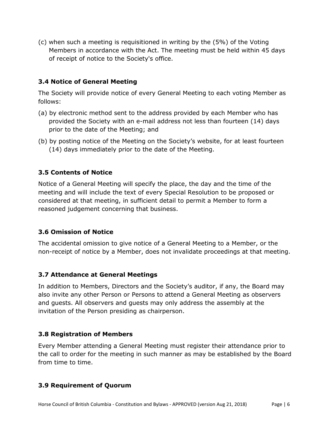(c) when such a meeting is requisitioned in writing by the (5%) of the Voting Members in accordance with the Act. The meeting must be held within 45 days of receipt of notice to the Society's office.

# **3.4 Notice of General Meeting**

The Society will provide notice of every General Meeting to each voting Member as follows:

- (a) by electronic method sent to the address provided by each Member who has provided the Society with an e-mail address not less than fourteen (14) days prior to the date of the Meeting; and
- (b) by posting notice of the Meeting on the Society's website, for at least fourteen (14) days immediately prior to the date of the Meeting.

# **3.5 Contents of Notice**

Notice of a General Meeting will specify the place, the day and the time of the meeting and will include the text of every Special Resolution to be proposed or considered at that meeting, in sufficient detail to permit a Member to form a reasoned judgement concerning that business.

#### **3.6 Omission of Notice**

The accidental omission to give notice of a General Meeting to a Member, or the non-receipt of notice by a Member, does not invalidate proceedings at that meeting.

#### **3.7 Attendance at General Meetings**

In addition to Members, Directors and the Society's auditor, if any, the Board may also invite any other Person or Persons to attend a General Meeting as observers and guests. All observers and guests may only address the assembly at the invitation of the Person presiding as chairperson.

#### **3.8 Registration of Members**

Every Member attending a General Meeting must register their attendance prior to the call to order for the meeting in such manner as may be established by the Board from time to time.

#### **3.9 Requirement of Quorum**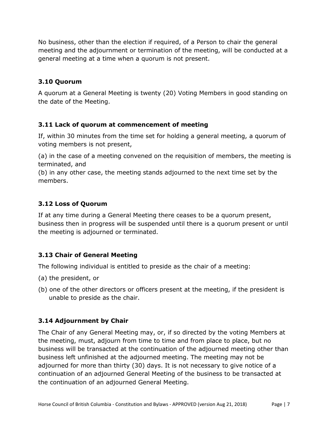No business, other than the election if required, of a Person to chair the general meeting and the adjournment or termination of the meeting, will be conducted at a general meeting at a time when a quorum is not present.

# **3.10 Quorum**

A quorum at a General Meeting is twenty (20) Voting Members in good standing on the date of the Meeting.

# **3.11 Lack of quorum at commencement of meeting**

If, within 30 minutes from the time set for holding a general meeting, a quorum of voting members is not present,

(a) in the case of a meeting convened on the requisition of members, the meeting is terminated, and

(b) in any other case, the meeting stands adjourned to the next time set by the members.

# **3.12 Loss of Quorum**

If at any time during a General Meeting there ceases to be a quorum present, business then in progress will be suspended until there is a quorum present or until the meeting is adjourned or terminated.

# **3.13 Chair of General Meeting**

The following individual is entitled to preside as the chair of a meeting:

- (a) the president, or
- (b) one of the other directors or officers present at the meeting, if the president is unable to preside as the chair.

# **3.14 Adjournment by Chair**

The Chair of any General Meeting may, or, if so directed by the voting Members at the meeting, must, adjourn from time to time and from place to place, but no business will be transacted at the continuation of the adjourned meeting other than business left unfinished at the adjourned meeting. The meeting may not be adjourned for more than thirty (30) days. It is not necessary to give notice of a continuation of an adjourned General Meeting of the business to be transacted at the continuation of an adjourned General Meeting.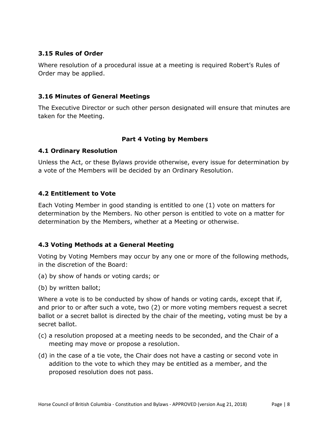## **3.15 Rules of Order**

Where resolution of a procedural issue at a meeting is required Robert's Rules of Order may be applied.

#### **3.16 Minutes of General Meetings**

The Executive Director or such other person designated will ensure that minutes are taken for the Meeting.

# **Part 4 Voting by Members**

## **4.1 Ordinary Resolution**

Unless the Act, or these Bylaws provide otherwise, every issue for determination by a vote of the Members will be decided by an Ordinary Resolution.

## **4.2 Entitlement to Vote**

Each Voting Member in good standing is entitled to one (1) vote on matters for determination by the Members. No other person is entitled to vote on a matter for determination by the Members, whether at a Meeting or otherwise.

# **4.3 Voting Methods at a General Meeting**

Voting by Voting Members may occur by any one or more of the following methods, in the discretion of the Board:

- (a) by show of hands or voting cards; or
- (b) by written ballot;

Where a vote is to be conducted by show of hands or voting cards, except that if, and prior to or after such a vote, two (2) or more voting members request a secret ballot or a secret ballot is directed by the chair of the meeting, voting must be by a secret ballot.

- (c) a resolution proposed at a meeting needs to be seconded, and the Chair of a meeting may move or propose a resolution.
- (d) in the case of a tie vote, the Chair does not have a casting or second vote in addition to the vote to which they may be entitled as a member, and the proposed resolution does not pass.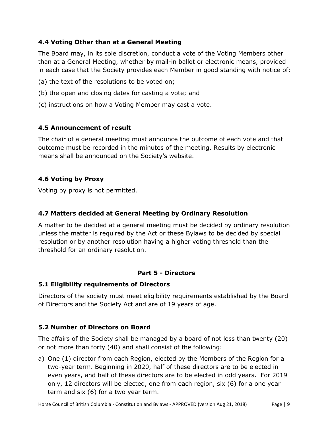# **4.4 Voting Other than at a General Meeting**

The Board may, in its sole discretion, conduct a vote of the Voting Members other than at a General Meeting, whether by mail-in ballot or electronic means, provided in each case that the Society provides each Member in good standing with notice of:

- (a) the text of the resolutions to be voted on;
- (b) the open and closing dates for casting a vote; and
- (c) instructions on how a Voting Member may cast a vote.

# **4.5 Announcement of result**

The chair of a general meeting must announce the outcome of each vote and that outcome must be recorded in the minutes of the meeting. Results by electronic means shall be announced on the Society's website.

# **4.6 Voting by Proxy**

Voting by proxy is not permitted.

# **4.7 Matters decided at General Meeting by Ordinary Resolution**

A matter to be decided at a general meeting must be decided by ordinary resolution unless the matter is required by the Act or these Bylaws to be decided by special resolution or by another resolution having a higher voting threshold than the threshold for an ordinary resolution.

# **Part 5 - Directors**

#### **5.1 Eligibility requirements of Directors**

Directors of the society must meet eligibility requirements established by the Board of Directors and the Society Act and are of 19 years of age.

# **5.2 Number of Directors on Board**

The affairs of the Society shall be managed by a board of not less than twenty (20) or not more than forty (40) and shall consist of the following:

a) One (1) director from each Region, elected by the Members of the Region for a two-year term. Beginning in 2020, half of these directors are to be elected in even years, and half of these directors are to be elected in odd years. For 2019 only, 12 directors will be elected, one from each region, six (6) for a one year term and six (6) for a two year term.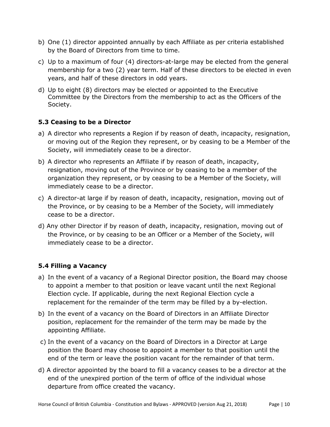- b) One (1) director appointed annually by each Affiliate as per criteria established by the Board of Directors from time to time.
- c) Up to a maximum of four (4) directors-at-large may be elected from the general membership for a two (2) year term. Half of these directors to be elected in even years, and half of these directors in odd years.
- d) Up to eight (8) directors may be elected or appointed to the Executive Committee by the Directors from the membership to act as the Officers of the Society.

# **5.3 Ceasing to be a Director**

- a) A director who represents a Region if by reason of death, incapacity, resignation, or moving out of the Region they represent, or by ceasing to be a Member of the Society, will immediately cease to be a director.
- b) A director who represents an Affiliate if by reason of death, incapacity, resignation, moving out of the Province or by ceasing to be a member of the organization they represent, or by ceasing to be a Member of the Society, will immediately cease to be a director.
- c) A director-at large if by reason of death, incapacity, resignation, moving out of the Province, or by ceasing to be a Member of the Society, will immediately cease to be a director.
- d) Any other Director if by reason of death, incapacity, resignation, moving out of the Province, or by ceasing to be an Officer or a Member of the Society, will immediately cease to be a director.

# **5.4 Filling a Vacancy**

- a) In the event of a vacancy of a Regional Director position, the Board may choose to appoint a member to that position or leave vacant until the next Regional Election cycle. If applicable, during the next Regional Election cycle a replacement for the remainder of the term may be filled by a by-election.
- b) In the event of a vacancy on the Board of Directors in an Affiliate Director position, replacement for the remainder of the term may be made by the appointing Affiliate.
- c) In the event of a vacancy on the Board of Directors in a Director at Large position the Board may choose to appoint a member to that position until the end of the term or leave the position vacant for the remainder of that term.
- d) A director appointed by the board to fill a vacancy ceases to be a director at the end of the unexpired portion of the term of office of the individual whose departure from office created the vacancy.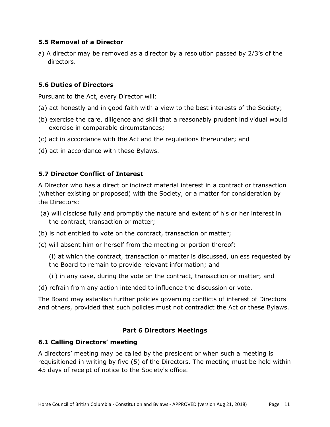### **5.5 Removal of a Director**

a) A director may be removed as a director by a resolution passed by 2/3's of the directors.

## **5.6 Duties of Directors**

Pursuant to the Act, every Director will:

- (a) act honestly and in good faith with a view to the best interests of the Society;
- (b) exercise the care, diligence and skill that a reasonably prudent individual would exercise in comparable circumstances;
- (c) act in accordance with the Act and the regulations thereunder; and
- (d) act in accordance with these Bylaws.

## **5.7 Director Conflict of Interest**

A Director who has a direct or indirect material interest in a contract or transaction (whether existing or proposed) with the Society, or a matter for consideration by the Directors:

- (a) will disclose fully and promptly the nature and extent of his or her interest in the contract, transaction or matter;
- (b) is not entitled to vote on the contract, transaction or matter;
- (c) will absent him or herself from the meeting or portion thereof:

(i) at which the contract, transaction or matter is discussed, unless requested by the Board to remain to provide relevant information; and

(ii) in any case, during the vote on the contract, transaction or matter; and

(d) refrain from any action intended to influence the discussion or vote.

The Board may establish further policies governing conflicts of interest of Directors and others, provided that such policies must not contradict the Act or these Bylaws.

#### **Part 6 Directors Meetings**

#### **6.1 Calling Directors' meeting**

A directors' meeting may be called by the president or when such a meeting is requisitioned in writing by five (5) of the Directors. The meeting must be held within 45 days of receipt of notice to the Society's office.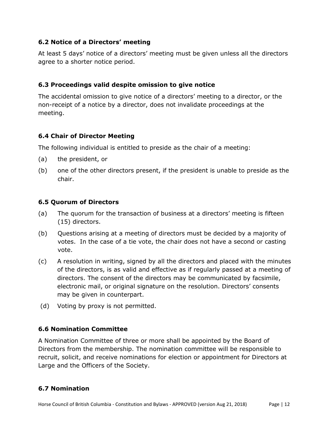# **6.2 Notice of a Directors' meeting**

At least 5 days' notice of a directors' meeting must be given unless all the directors agree to a shorter notice period.

# **6.3 Proceedings valid despite omission to give notice**

The accidental omission to give notice of a directors' meeting to a director, or the non-receipt of a notice by a director, does not invalidate proceedings at the meeting.

## **6.4 Chair of Director Meeting**

The following individual is entitled to preside as the chair of a meeting:

- (a) the president, or
- (b) one of the other directors present, if the president is unable to preside as the chair.

#### **6.5 Quorum of Directors**

- (a) The quorum for the transaction of business at a directors' meeting is fifteen (15) directors.
- (b) Questions arising at a meeting of directors must be decided by a majority of votes. In the case of a tie vote, the chair does not have a second or casting vote.
- (c) A resolution in writing, signed by all the directors and placed with the minutes of the directors, is as valid and effective as if regularly passed at a meeting of directors. The consent of the directors may be communicated by facsimile, electronic mail, or original signature on the resolution. Directors' consents may be given in counterpart.
- (d) Voting by proxy is not permitted.

# **6.6 Nomination Committee**

A Nomination Committee of three or more shall be appointed by the Board of Directors from the membership. The nomination committee will be responsible to recruit, solicit, and receive nominations for election or appointment for Directors at Large and the Officers of the Society.

# **6.7 Nomination**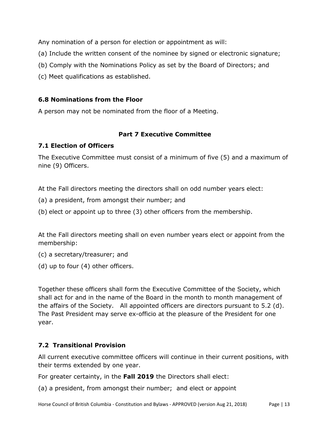Any nomination of a person for election or appointment as will:

- (a) Include the written consent of the nominee by signed or electronic signature;
- (b) Comply with the Nominations Policy as set by the Board of Directors; and
- (c) Meet qualifications as established.

#### **6.8 Nominations from the Floor**

A person may not be nominated from the floor of a Meeting.

## **Part 7 Executive Committee**

## **7.1 Election of Officers**

The Executive Committee must consist of a minimum of five (5) and a maximum of nine (9) Officers.

At the Fall directors meeting the directors shall on odd number years elect:

(a) a president, from amongst their number; and

(b) elect or appoint up to three (3) other officers from the membership.

At the Fall directors meeting shall on even number years elect or appoint from the membership:

(c) a secretary/treasurer; and

(d) up to four (4) other officers.

Together these officers shall form the Executive Committee of the Society, which shall act for and in the name of the Board in the month to month management of the affairs of the Society. All appointed officers are directors pursuant to 5.2 (d). The Past President may serve ex-officio at the pleasure of the President for one year.

# **7.2 Transitional Provision**

All current executive committee officers will continue in their current positions, with their terms extended by one year.

For greater certainty, in the **Fall 2019** the Directors shall elect:

(a) a president, from amongst their number; and elect or appoint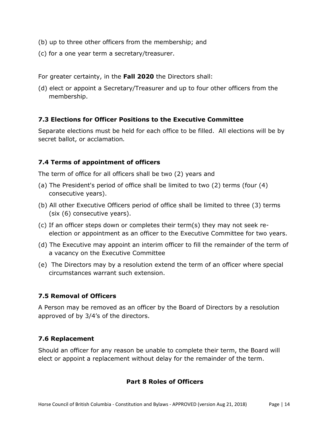- (b) up to three other officers from the membership; and
- (c) for a one year term a secretary/treasurer.

For greater certainty, in the **Fall 2020** the Directors shall:

(d) elect or appoint a Secretary/Treasurer and up to four other officers from the membership.

#### **7.3 Elections for Officer Positions to the Executive Committee**

Separate elections must be held for each office to be filled. All elections will be by secret ballot, or acclamation*.*

## **7.4 Terms of appointment of officers**

The term of office for all officers shall be two (2) years and

- (a) The President's period of office shall be limited to two (2) terms (four (4) consecutive years).
- (b) All other Executive Officers period of office shall be limited to three (3) terms (six (6) consecutive years).
- (c) If an officer steps down or completes their term(s) they may not seek reelection or appointment as an officer to the Executive Committee for two years.
- (d) The Executive may appoint an interim officer to fill the remainder of the term of a vacancy on the Executive Committee
- (e) The Directors may by a resolution extend the term of an officer where special circumstances warrant such extension.

# **7.5 Removal of Officers**

A Person may be removed as an officer by the Board of Directors by a resolution approved of by 3/4's of the directors.

#### **7.6 Replacement**

Should an officer for any reason be unable to complete their term, the Board will elect or appoint a replacement without delay for the remainder of the term.

#### **Part 8 Roles of Officers**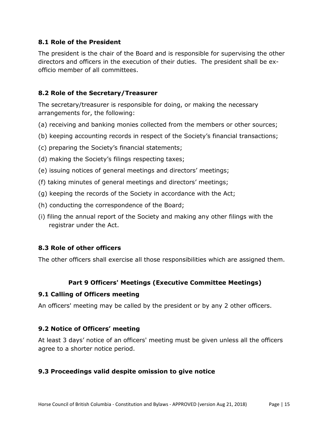#### **8.1 Role of the President**

The president is the chair of the Board and is responsible for supervising the other directors and officers in the execution of their duties. The president shall be exofficio member of all committees.

## **8.2 Role of the Secretary/Treasurer**

The secretary/treasurer is responsible for doing, or making the necessary arrangements for, the following:

- (a) receiving and banking monies collected from the members or other sources;
- (b) keeping accounting records in respect of the Society's financial transactions;
- (c) preparing the Society's financial statements;
- (d) making the Society's filings respecting taxes;
- (e) issuing notices of general meetings and directors' meetings;
- (f) taking minutes of general meetings and directors' meetings;
- (g) keeping the records of the Society in accordance with the Act;
- (h) conducting the correspondence of the Board;
- (i) filing the annual report of the Society and making any other filings with the registrar under the Act.

# **8.3 Role of other officers**

The other officers shall exercise all those responsibilities which are assigned them.

# **Part 9 Officers' Meetings (Executive Committee Meetings)**

#### **9.1 Calling of Officers meeting**

An officers' meeting may be called by the president or by any 2 other officers.

#### **9.2 Notice of Officers' meeting**

At least 3 days' notice of an officers' meeting must be given unless all the officers agree to a shorter notice period.

# **9.3 Proceedings valid despite omission to give notice**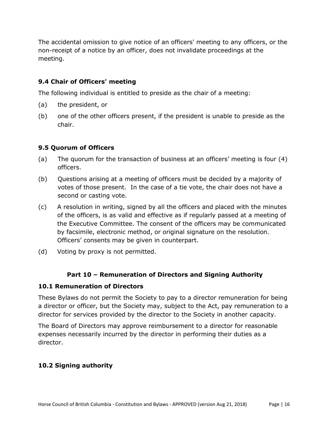The accidental omission to give notice of an officers' meeting to any officers, or the non-receipt of a notice by an officer, does not invalidate proceedings at the meeting.

# **9.4 Chair of Officers' meeting**

The following individual is entitled to preside as the chair of a meeting:

- (a) the president, or
- (b) one of the other officers present, if the president is unable to preside as the chair.

#### **9.5 Quorum of Officers**

- (a) The quorum for the transaction of business at an officers' meeting is four (4) officers.
- (b) Questions arising at a meeting of officers must be decided by a majority of votes of those present. In the case of a tie vote, the chair does not have a second or casting vote.
- (c) A resolution in writing, signed by all the officers and placed with the minutes of the officers, is as valid and effective as if regularly passed at a meeting of the Executive Committee. The consent of the officers may be communicated by facsimile, electronic method, or original signature on the resolution. Officers' consents may be given in counterpart.
- (d) Voting by proxy is not permitted.

#### **Part 10 – Remuneration of Directors and Signing Authority**

#### **10.1 Remuneration of Directors**

These Bylaws do not permit the Society to pay to a director remuneration for being a director or officer, but the Society may, subject to the Act, pay remuneration to a director for services provided by the director to the Society in another capacity.

The Board of Directors may approve reimbursement to a director for reasonable expenses necessarily incurred by the director in performing their duties as a director.

#### **10.2 Signing authority**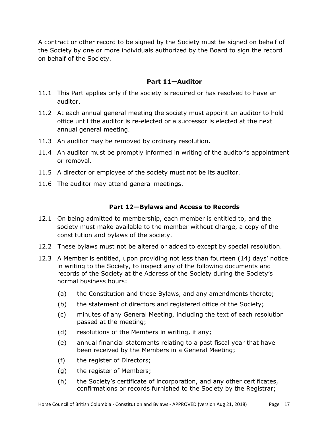A contract or other record to be signed by the Society must be signed on behalf of the Society by one or more individuals authorized by the Board to sign the record on behalf of the Society.

# **Part 11—Auditor**

- 11.1 This Part applies only if the society is required or has resolved to have an auditor.
- 11.2 At each annual general meeting the society must appoint an auditor to hold office until the auditor is re-elected or a successor is elected at the next annual general meeting.
- 11.3 An auditor may be removed by ordinary resolution.
- 11.4 An auditor must be promptly informed in writing of the auditor's appointment or removal.
- 11.5 A director or employee of the society must not be its auditor.
- 11.6 The auditor may attend general meetings.

#### **Part 12—Bylaws and Access to Records**

- 12.1 On being admitted to membership, each member is entitled to, and the society must make available to the member without charge, a copy of the constitution and bylaws of the society.
- 12.2 These bylaws must not be altered or added to except by special resolution.
- 12.3 A Member is entitled, upon providing not less than fourteen (14) days' notice in writing to the Society, to inspect any of the following documents and records of the Society at the Address of the Society during the Society's normal business hours:
	- (a) the Constitution and these Bylaws, and any amendments thereto;
	- (b) the statement of directors and registered office of the Society;
	- (c) minutes of any General Meeting, including the text of each resolution passed at the meeting;
	- (d) resolutions of the Members in writing, if any;
	- (e) annual financial statements relating to a past fiscal year that have been received by the Members in a General Meeting;
	- (f) the register of Directors;
	- (g) the register of Members;
	- (h) the Society's certificate of incorporation, and any other certificates, confirmations or records furnished to the Society by the Registrar;